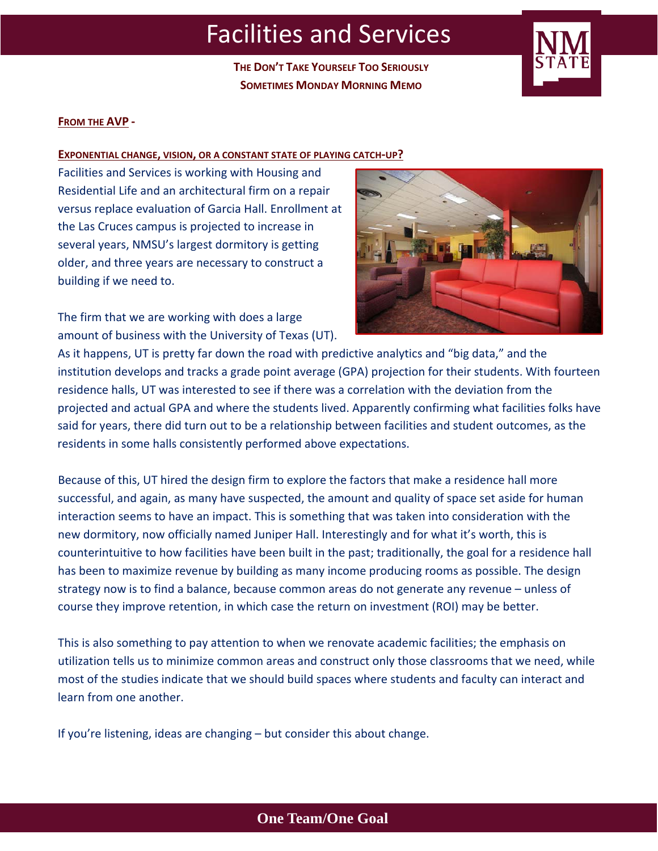**THE DON'T TAKE YOURSELF TOO SERIOUSLY SOMETIMES MONDAY MORNING MEMO**



## **FROM THE AVP ‐**

### **EXPONENTIAL CHANGE, VISION, OR A CONSTANT STATE OF PLAYING CATCH‐UP?**

Facilities and Services is working with Housing and Residential Life and an architectural firm on a repair versus replace evaluation of Garcia Hall. Enrollment at the Las Cruces campus is projected to increase in several years, NMSU's largest dormitory is getting older, and three years are necessary to construct a building if we need to.

The firm that we are working with does a large amount of business with the University of Texas (UT).



As it happens, UT is pretty far down the road with predictive analytics and "big data," and the institution develops and tracks a grade point average (GPA) projection for their students. With fourteen residence halls, UT was interested to see if there was a correlation with the deviation from the projected and actual GPA and where the students lived. Apparently confirming what facilities folks have said for years, there did turn out to be a relationship between facilities and student outcomes, as the residents in some halls consistently performed above expectations.

Because of this, UT hired the design firm to explore the factors that make a residence hall more successful, and again, as many have suspected, the amount and quality of space set aside for human interaction seems to have an impact. This is something that was taken into consideration with the new dormitory, now officially named Juniper Hall. Interestingly and for what it's worth, this is counterintuitive to how facilities have been built in the past; traditionally, the goal for a residence hall has been to maximize revenue by building as many income producing rooms as possible. The design strategy now is to find a balance, because common areas do not generate any revenue – unless of course they improve retention, in which case the return on investment (ROI) may be better.

This is also something to pay attention to when we renovate academic facilities; the emphasis on utilization tells us to minimize common areas and construct only those classrooms that we need, while most of the studies indicate that we should build spaces where students and faculty can interact and learn from one another.

If you're listening, ideas are changing – but consider this about change.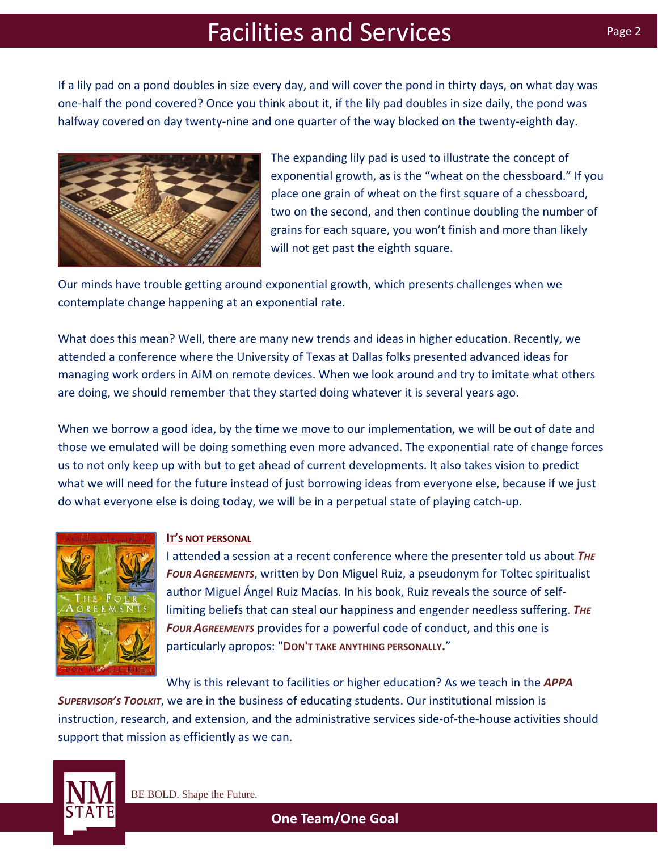If a lily pad on a pond doubles in size every day, and will cover the pond in thirty days, on what day was one‐half the pond covered? Once you think about it, if the lily pad doubles in size daily, the pond was halfway covered on day twenty-nine and one quarter of the way blocked on the twenty-eighth day.



The expanding lily pad is used to illustrate the concept of exponential growth, as is the "wheat on the chessboard." If you place one grain of wheat on the first square of a chessboard, two on the second, and then continue doubling the number of grains for each square, you won't finish and more than likely will not get past the eighth square.

Our minds have trouble getting around exponential growth, which presents challenges when we contemplate change happening at an exponential rate.

What does this mean? Well, there are many new trends and ideas in higher education. Recently, we attended a conference where the University of Texas at Dallas folks presented advanced ideas for managing work orders in AiM on remote devices. When we look around and try to imitate what others are doing, we should remember that they started doing whatever it is several years ago.

When we borrow a good idea, by the time we move to our implementation, we will be out of date and those we emulated will be doing something even more advanced. The exponential rate of change forces us to not only keep up with but to get ahead of current developments. It also takes vision to predict what we will need for the future instead of just borrowing ideas from everyone else, because if we just do what everyone else is doing today, we will be in a perpetual state of playing catch‐up.



## **IT'S NOT PERSONAL**

I attended a session at a recent conference where the presenter told us about *THE FOUR AGREEMENTS*, written by Don Miguel Ruiz, a pseudonym for Toltec spiritualist author Miguel Ángel Ruiz Macías. In his book, Ruiz reveals the source of self‐ limiting beliefs that can steal our happiness and engender needless suffering. *THE FOUR AGREEMENTS* provides for a powerful code of conduct, and this one is particularly apropos: "**DON'T TAKE ANYTHING PERSONALLY.**"

Why is this relevant to facilities or higher education? As we teach in the *APPA*

*SUPERVISOR'S TOOLKIT*, we are in the business of educating students. Our institutional mission is instruction, research, and extension, and the administrative services side‐of‐the‐house activities should support that mission as efficiently as we can.

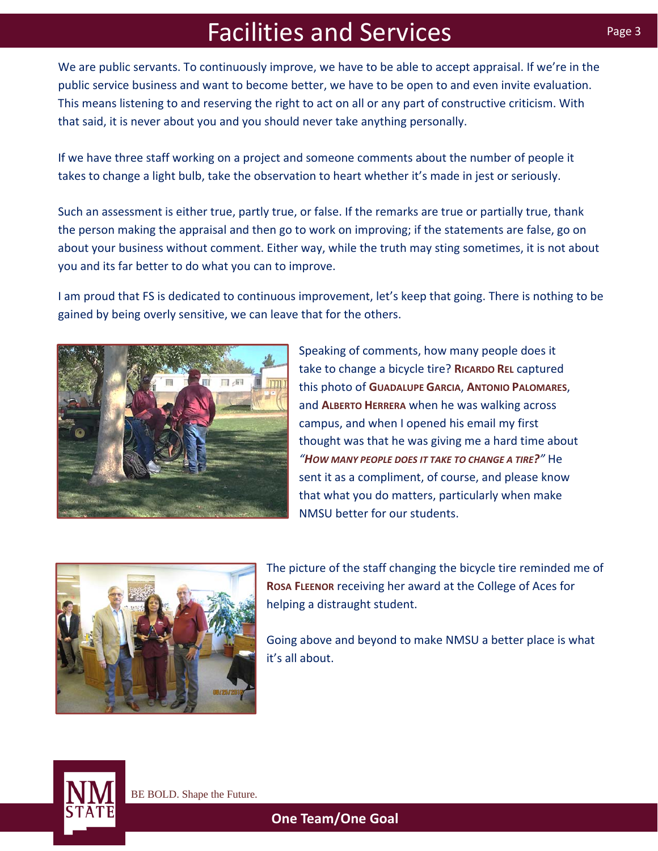We are public servants. To continuously improve, we have to be able to accept appraisal. If we're in the public service business and want to become better, we have to be open to and even invite evaluation. This means listening to and reserving the right to act on all or any part of constructive criticism. With that said, it is never about you and you should never take anything personally.

If we have three staff working on a project and someone comments about the number of people it takes to change a light bulb, take the observation to heart whether it's made in jest or seriously.

Such an assessment is either true, partly true, or false. If the remarks are true or partially true, thank the person making the appraisal and then go to work on improving; if the statements are false, go on about your business without comment. Either way, while the truth may sting sometimes, it is not about you and its far better to do what you can to improve.

I am proud that FS is dedicated to continuous improvement, let's keep that going. There is nothing to be gained by being overly sensitive, we can leave that for the others.



Speaking of comments, how many people does it take to change a bicycle tire? **RICARDO REL** captured this photo of **GUADALUPE GARCIA**, **ANTONIO PALOMARES**, and **ALBERTO HERRERA** when he was walking across campus, and when I opened his email my first thought was that he was giving me a hard time about *"HOW MANY PEOPLE DOES IT TAKE TO CHANGE A TIRE?"* He sent it as a compliment, of course, and please know that what you do matters, particularly when make NMSU better for our students.



The picture of the staff changing the bicycle tire reminded me of **ROSA FLEENOR** receiving her award at the College of Aces for helping a distraught student.

Going above and beyond to make NMSU a better place is what it's all about.

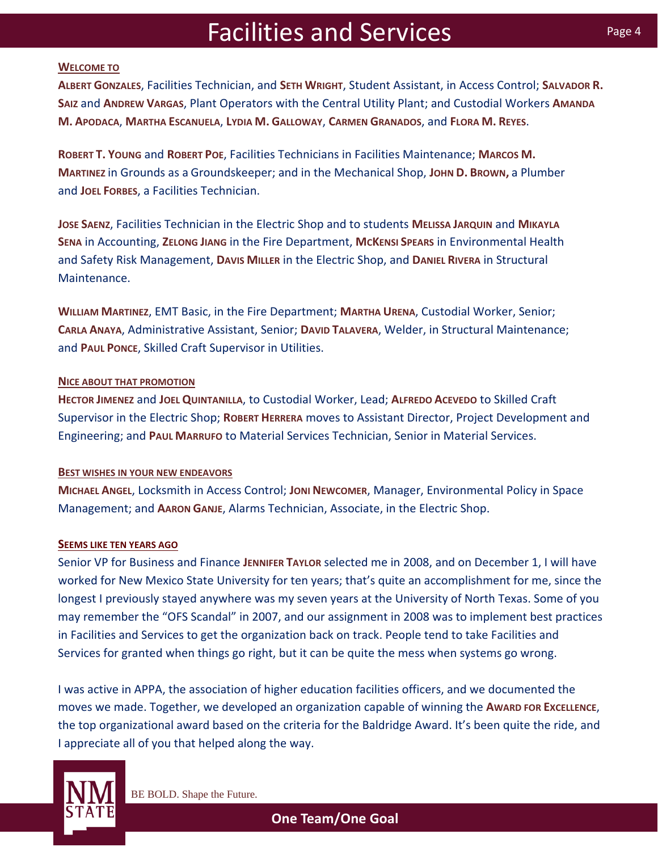### **WELCOME TO**

**ALBERT GONZALES**, Facilities Technician, and **SETH WRIGHT**, Student Assistant, in Access Control; **SALVADOR R. SAIZ** and **ANDREW VARGAS**, Plant Operators with the Central Utility Plant; and Custodial Workers **AMANDA M. APODACA**, **MARTHA ESCANUELA**, **LYDIA M. GALLOWAY**, **CARMEN GRANADOS**, and **FLORA M. REYES**.

**ROBERT T. YOUNG** and **ROBERT POE**, Facilities Technicians in Facilities Maintenance; **MARCOS M. MARTINEZ** in Grounds as a Groundskeeper; and in the Mechanical Shop, **JOHN D. BROWN,** a Plumber and **JOEL FORBES**, a Facilities Technician.

**JOSE SAENZ**, Facilities Technician in the Electric Shop and to students **MELISSA JARQUIN** and **MIKAYLA SENA** in Accounting, **ZELONG JIANG** in the Fire Department, **MCKENSI SPEARS** in Environmental Health and Safety Risk Management, **DAVIS MILLER** in the Electric Shop, and **DANIEL RIVERA** in Structural Maintenance.

**WILLIAM MARTINEZ**, EMT Basic, in the Fire Department; **MARTHA URENA**, Custodial Worker, Senior; **CARLA ANAYA**, Administrative Assistant, Senior; **DAVID TALAVERA**, Welder, in Structural Maintenance; and **PAUL PONCE**, Skilled Craft Supervisor in Utilities.

### **NICE ABOUT THAT PROMOTION**

**HECTOR JIMENEZ** and **JOEL QUINTANILLA**, to Custodial Worker, Lead; **ALFREDO ACEVEDO** to Skilled Craft Supervisor in the Electric Shop; **ROBERT HERRERA** moves to Assistant Director, Project Development and Engineering; and **PAUL MARRUFO** to Material Services Technician, Senior in Material Services.

### **BEST WISHES IN YOUR NEW ENDEAVORS**

**MICHAEL ANGEL**, Locksmith in Access Control; **JONI NEWCOMER**, Manager, Environmental Policy in Space Management; and **AARON GANJE**, Alarms Technician, Associate, in the Electric Shop.

### **SEEMS LIKE TEN YEARS AGO**

Senior VP for Business and Finance **JENNIFER TAYLOR** selected me in 2008, and on December 1, I will have worked for New Mexico State University for ten years; that's quite an accomplishment for me, since the longest I previously stayed anywhere was my seven years at the University of North Texas. Some of you may remember the "OFS Scandal" in 2007, and our assignment in 2008 was to implement best practices in Facilities and Services to get the organization back on track. People tend to take Facilities and Services for granted when things go right, but it can be quite the mess when systems go wrong.

I was active in APPA, the association of higher education facilities officers, and we documented the moves we made. Together, we developed an organization capable of winning the **AWARD FOR EXCELLENCE**, the top organizational award based on the criteria for the Baldridge Award. It's been quite the ride, and I appreciate all of you that helped along the way.



BE BOLD. Shape the Future.

**One Team/One Goal**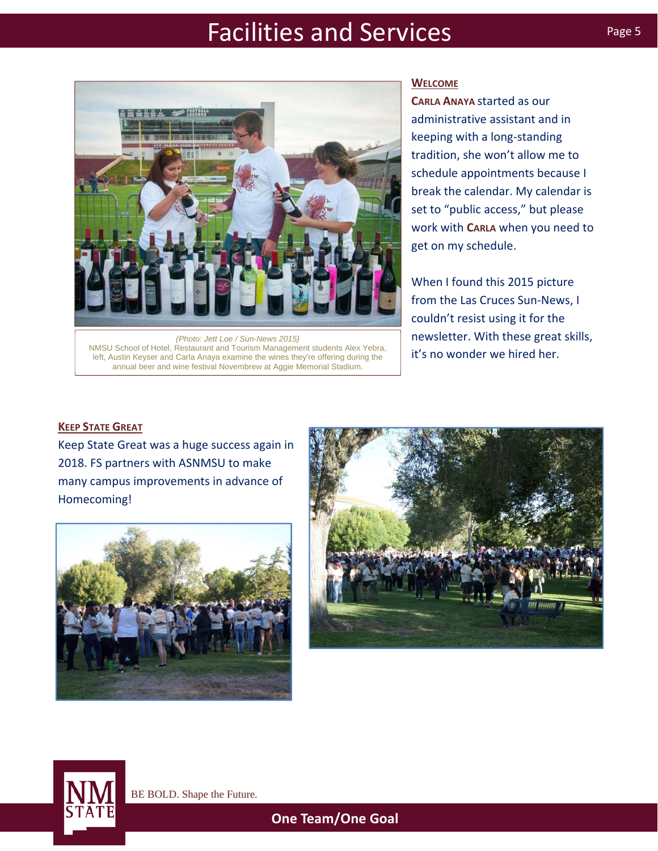

left, Austin Keyser and Carla Anaya examine the wines they're offering during the annual beer and wine festival Novembrew at Aggie Memorial Stadium.

### **WELCOME**

**CARLA ANAYA** started as our administrative assistant and in keeping with a long‐standing tradition, she won't allow me to schedule appointments because I break the calendar. My calendar is set to "public access," but please work with **CARLA** when you need to get on my schedule.

When I found this 2015 picture from the Las Cruces Sun‐News, I couldn't resist using it for the newsletter. With these great skills, it's no wonder we hired her.

### **KEEP STATE GREAT**

Keep State Great was a huge success again in 2018. FS partners with ASNMSU to make many campus improvements in advance of Homecoming!







BE BOLD. Shape the Future.

**One Team/One Goal**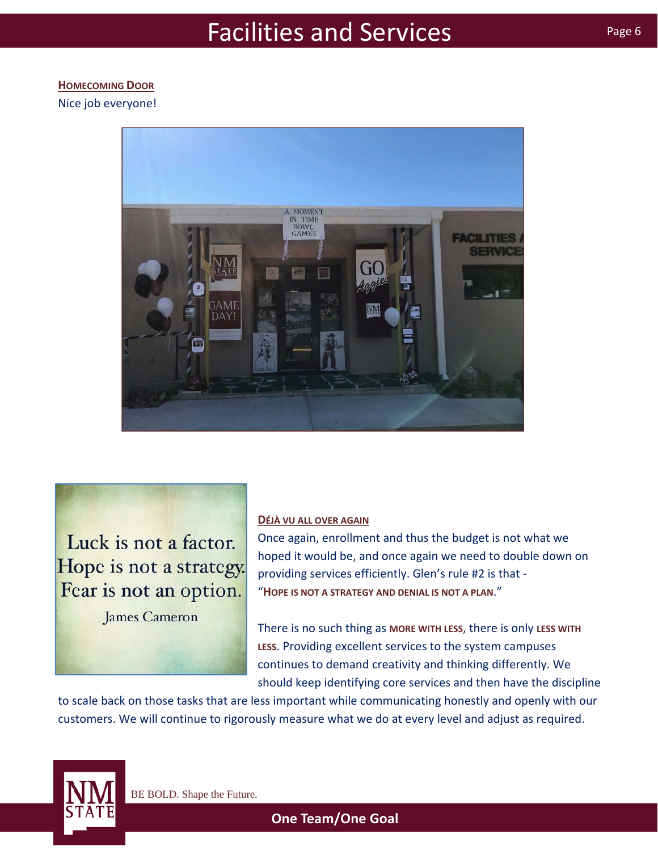## **HOMECOMING DOOR**

Nice job everyone!



Luck is not a factor. Hope is not a strategy. Fear is not an option.

**James Cameron** 

## **DÉJÀ VU ALL OVER AGAIN**

Once again, enrollment and thus the budget is not what we hoped it would be, and once again we need to double down on providing services efficiently. Glen's rule #2 is that ‐ "**HOPE IS NOT A STRATEGY AND DENIAL IS NOT A PLAN**."

There is no such thing as **MORE WITH LESS**, there is only **LESS WITH LESS**. Providing excellent services to the system campuses continues to demand creativity and thinking differently. We should keep identifying core services and then have the discipline

to scale back on those tasks that are less important while communicating honestly and openly with our customers. We will continue to rigorously measure what we do at every level and adjust as required.

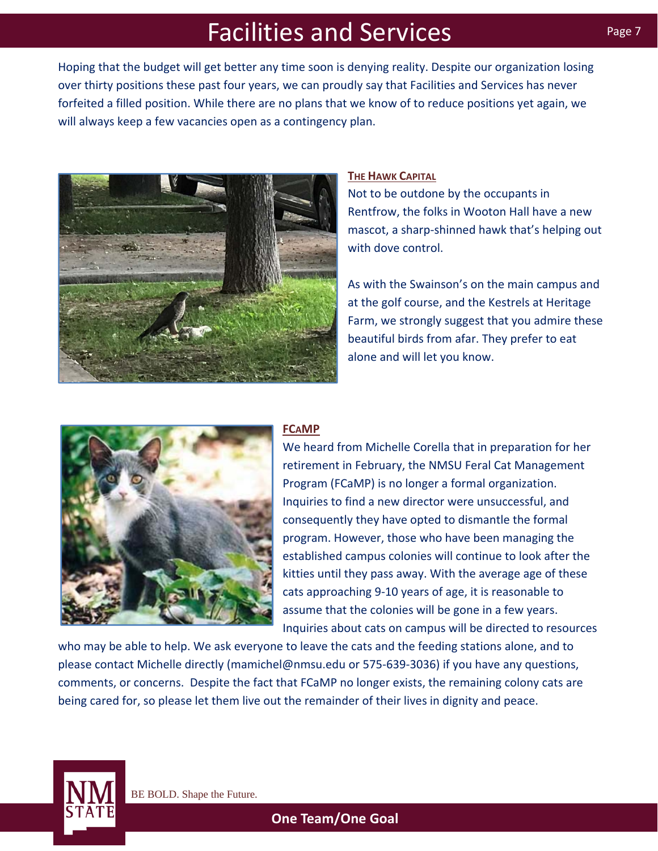Hoping that the budget will get better any time soon is denying reality. Despite our organization losing over thirty positions these past four years, we can proudly say that Facilities and Services has never forfeited a filled position. While there are no plans that we know of to reduce positions yet again, we will always keep a few vacancies open as a contingency plan.



## **THE HAWK CAPITAL**

Not to be outdone by the occupants in Rentfrow, the folks in Wooton Hall have a new mascot, a sharp‐shinned hawk that's helping out with dove control.

As with the Swainson's on the main campus and at the golf course, and the Kestrels at Heritage Farm, we strongly suggest that you admire these beautiful birds from afar. They prefer to eat alone and will let you know.



## **FCAMP**

We heard from Michelle Corella that in preparation for her retirement in February, the NMSU Feral Cat Management Program (FCaMP) is no longer a formal organization. Inquiries to find a new director were unsuccessful, and consequently they have opted to dismantle the formal program. However, those who have been managing the established campus colonies will continue to look after the kitties until they pass away. With the average age of these cats approaching 9‐10 years of age, it is reasonable to assume that the colonies will be gone in a few years. Inquiries about cats on campus will be directed to resources

who may be able to help. We ask everyone to leave the cats and the feeding stations alone, and to please contact Michelle directly (mamichel@nmsu.edu or 575‐639‐3036) if you have any questions, comments, or concerns. Despite the fact that FCaMP no longer exists, the remaining colony cats are being cared for, so please let them live out the remainder of their lives in dignity and peace.

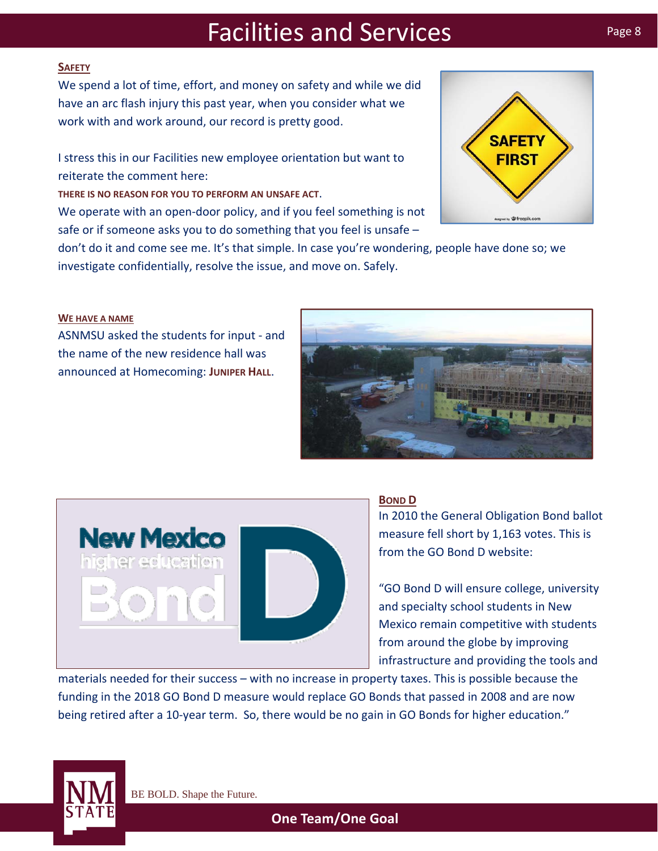## **SAFETY**

We spend a lot of time, effort, and money on safety and while we did have an arc flash injury this past year, when you consider what we work with and work around, our record is pretty good.

I stress this in our Facilities new employee orientation but want to reiterate the comment here:

**THERE IS NO REASON FOR YOU TO PERFORM AN UNSAFE ACT**.

We operate with an open-door policy, and if you feel something is not safe or if someone asks you to do something that you feel is unsafe –

don't do it and come see me. It's that simple. In case you're wondering, people have done so; we investigate confidentially, resolve the issue, and move on. Safely.

### **WE HAVE A NAME**

ASNMSU asked the students for input ‐ and the name of the new residence hall was announced at Homecoming: **JUNIPER HALL**.

**New Mexico** 

higher education



In 2010 the General Obligation Bond ballot measure fell short by 1,163 votes. This is from the GO Bond D website:

"GO Bond D will ensure college, university and specialty school students in New Mexico remain competitive with students from around the globe by improving infrastructure and providing the tools and

materials needed for their success – with no increase in property taxes. This is possible because the funding in the 2018 GO Bond D measure would replace GO Bonds that passed in 2008 and are now being retired after a 10-year term. So, there would be no gain in GO Bonds for higher education."







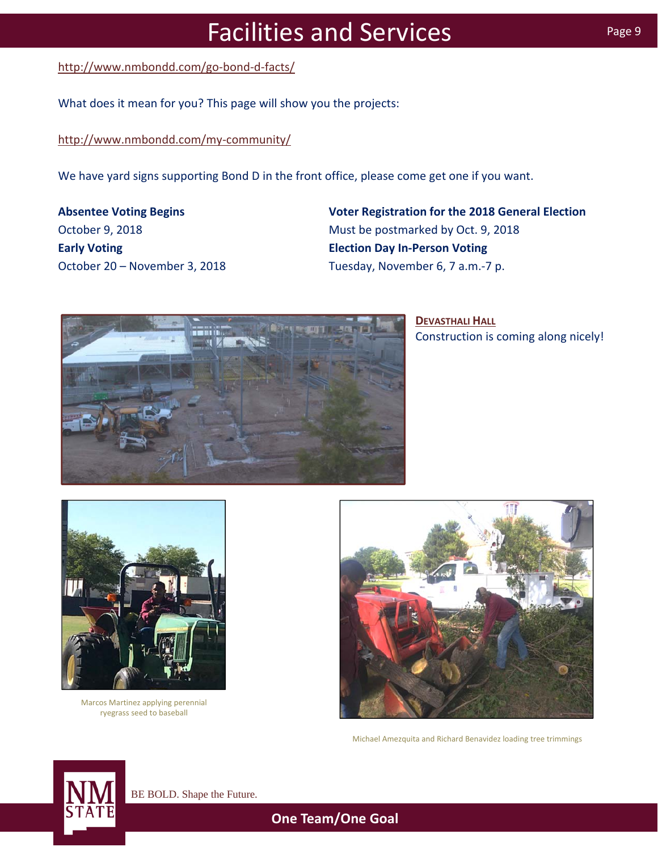[http://www.nmbondd.com/go](http://www.nmbondd.com/go-bond-d-facts/)‐bond‐d‐facts/

What does it mean for you? This page will show you the projects:

[http://www.nmbondd.com/my](http://www.nmbondd.com/my-community/)‐community/

We have yard signs supporting Bond D in the front office, please come get one if you want.

**Absentee Voting Begins** October 9, 2018 **Early Voting** October 20 – November 3, 2018 **Voter Registration for the 2018 General Election** Must be postmarked by Oct. 9, 2018 **Election Day In‐Person Voting** Tuesday, November 6, 7 a.m.‐7 p.



**DEVASTHALI HALL** Construction is coming along nicely!



Marcos Martinez applying perennial ryegrass seed to baseball



Michael Amezquita and Richard Benavidez loading tree trimmings



BE BOLD. Shape the Future.

**One Team/One Goal**